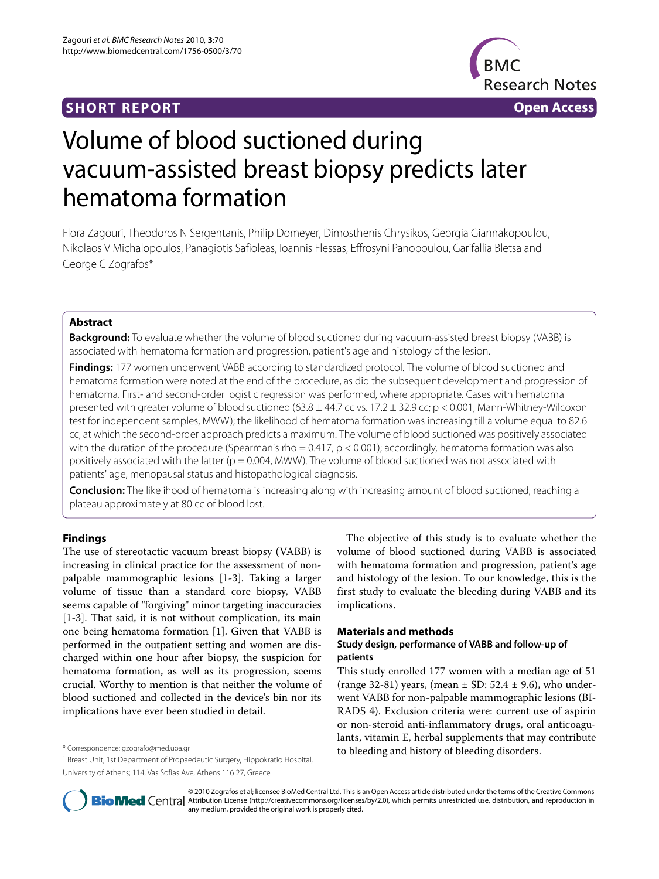# **SHORT REPORT Open Access**



# Volume of blood suctioned during vacuum-assisted breast biopsy predicts later hematoma formation

Flora Zagouri, Theodoros N Sergentanis, Philip Domeyer, Dimosthenis Chrysikos, Georgia Giannakopoulou, Nikolaos V Michalopoulos, Panagiotis Safioleas, Ioannis Flessas, Effrosyni Panopoulou, Garifallia Bletsa and George C Zografos\*

# **Abstract**

**Background:** To evaluate whether the volume of blood suctioned during vacuum-assisted breast biopsy (VABB) is associated with hematoma formation and progression, patient's age and histology of the lesion.

**Findings:** 177 women underwent VABB according to standardized protocol. The volume of blood suctioned and hematoma formation were noted at the end of the procedure, as did the subsequent development and progression of hematoma. First- and second-order logistic regression was performed, where appropriate. Cases with hematoma presented with greater volume of blood suctioned (63.8 ± 44.7 cc vs. 17.2 ± 32.9 cc; p < 0.001, Mann-Whitney-Wilcoxon test for independent samples, MWW); the likelihood of hematoma formation was increasing till a volume equal to 82.6 cc, at which the second-order approach predicts a maximum. The volume of blood suctioned was positively associated with the duration of the procedure (Spearman's rho =  $0.417$ ,  $p < 0.001$ ); accordingly, hematoma formation was also positively associated with the latter ( $p = 0.004$ , MWW). The volume of blood suctioned was not associated with patients' age, menopausal status and histopathological diagnosis.

**Conclusion:** The likelihood of hematoma is increasing along with increasing amount of blood suctioned, reaching a plateau approximately at 80 cc of blood lost.

# **Findings**

The use of stereotactic vacuum breast biopsy (VABB) is increasing in clinical practice for the assessment of nonpalpable mammographic lesions [\[1](#page-2-0)-[3\]](#page-2-1). Taking a larger volume of tissue than a standard core biopsy, VABB seems capable of "forgiving" minor targeting inaccuracies [[1](#page-2-0)[-3](#page-2-1)]. That said, it is not without complication, its main one being hematoma formation [\[1](#page-2-0)]. Given that VABB is performed in the outpatient setting and women are discharged within one hour after biopsy, the suspicion for hematoma formation, as well as its progression, seems crucial. Worthy to mention is that neither the volume of blood suctioned and collected in the device's bin nor its implications have ever been studied in detail.

The objective of this study is to evaluate whether the volume of blood suctioned during VABB is associated with hematoma formation and progression, patient's age and histology of the lesion. To our knowledge, this is the first study to evaluate the bleeding during VABB and its implications.

# **Materials and methods**

# **Study design, performance of VABB and follow-up of patients**

This study enrolled 177 women with a median age of 51 (range 32-81) years, (mean  $\pm$  SD: 52.4  $\pm$  9.6), who underwent VABB for non-palpable mammographic lesions (BI-RADS 4). Exclusion criteria were: current use of aspirin or non-steroid anti-inflammatory drugs, oral anticoagulants, vitamin E, herbal supplements that may contribute \* Correspondence: gzografo@med.uoa.gr entitled and bleeding and history of bleeding disorders.



© 2010 Zografos et al; licensee BioMed Central Ltd. This is an Open Access article distributed under the terms of the Creative Commons **Bio Med** Central Attribution License (http://creativecommons.org/licenses/by/2.0), which permits unrestricted use, distribution, and reproduction in any medium, provided the original work is properly cited.

<sup>1</sup> Breast Unit, 1st Department of Propaedeutic Surgery, Hippokratio Hospital, University of Athens; 114, Vas Sofias Ave, Athens 116 27, Greece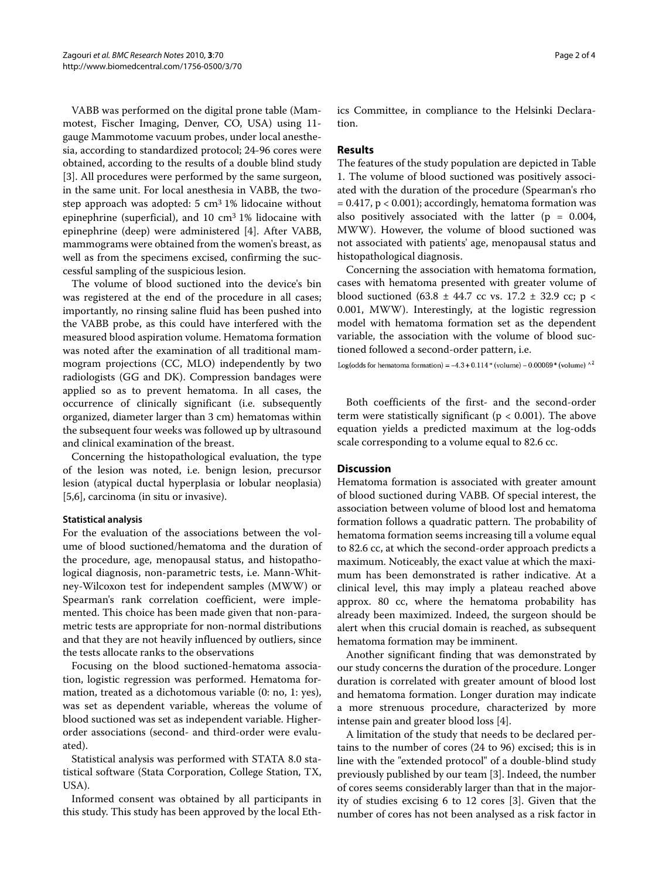VABB was performed on the digital prone table (Mammotest, Fischer Imaging, Denver, CO, USA) using 11 gauge Mammotome vacuum probes, under local anesthesia, according to standardized protocol; 24-96 cores were obtained, according to the results of a double blind study [[3\]](#page-2-1). All procedures were performed by the same surgeon, in the same unit. For local anesthesia in VABB, the twostep approach was adopted:  $5 \text{ cm}^3$  1% lidocaine without epinephrine (superficial), and 10 cm<sup>3</sup> 1% lidocaine with epinephrine (deep) were administered [[4\]](#page-2-2). After VABB, mammograms were obtained from the women's breast, as well as from the specimens excised, confirming the successful sampling of the suspicious lesion.

The volume of blood suctioned into the device's bin was registered at the end of the procedure in all cases; importantly, no rinsing saline fluid has been pushed into the VABB probe, as this could have interfered with the measured blood aspiration volume. Hematoma formation was noted after the examination of all traditional mammogram projections (CC, MLO) independently by two radiologists (GG and DK). Compression bandages were applied so as to prevent hematoma. In all cases, the occurrence of clinically significant (i.e. subsequently organized, diameter larger than 3 cm) hematomas within the subsequent four weeks was followed up by ultrasound and clinical examination of the breast.

Concerning the histopathological evaluation, the type of the lesion was noted, i.e. benign lesion, precursor lesion (atypical ductal hyperplasia or lobular neoplasia) [[5,](#page-2-3)[6\]](#page-2-4), carcinoma (in situ or invasive).

# **Statistical analysis**

For the evaluation of the associations between the volume of blood suctioned/hematoma and the duration of the procedure, age, menopausal status, and histopathological diagnosis, non-parametric tests, i.e. Mann-Whitney-Wilcoxon test for independent samples (MWW) or Spearman's rank correlation coefficient, were implemented. This choice has been made given that non-parametric tests are appropriate for non-normal distributions and that they are not heavily influenced by outliers, since the tests allocate ranks to the observations

Focusing on the blood suctioned-hematoma association, logistic regression was performed. Hematoma formation, treated as a dichotomous variable (0: no, 1: yes), was set as dependent variable, whereas the volume of blood suctioned was set as independent variable. Higherorder associations (second- and third-order were evaluated).

Statistical analysis was performed with STATA 8.0 statistical software (Stata Corporation, College Station, TX, USA).

Informed consent was obtained by all participants in this study. This study has been approved by the local Ethics Committee, in compliance to the Helsinki Declaration.

#### **Results**

The features of the study population are depicted in Table 1. The volume of blood suctioned was positively associated with the duration of the procedure (Spearman's rho  $= 0.417$ ,  $p < 0.001$ ); accordingly, hematoma formation was also positively associated with the latter ( $p = 0.004$ , MWW). However, the volume of blood suctioned was not associated with patients' age, menopausal status and histopathological diagnosis.

Concerning the association with hematoma formation, cases with hematoma presented with greater volume of blood suctioned (63.8  $\pm$  44.7 cc vs. 17.2  $\pm$  32.9 cc; p < 0.001, MWW). Interestingly, at the logistic regression model with hematoma formation set as the dependent variable, the association with the volume of blood suctioned followed a second-order pattern, i.e.

Log(odds for hematoma formation) =  $-4.3 + 0.114$  \* (volume)  $-0.00069$  \* (volume)  $\wedge^2$ 

Both coefficients of the first- and the second-order term were statistically significant ( $p < 0.001$ ). The above equation yields a predicted maximum at the log-odds scale corresponding to a volume equal to 82.6 cc.

#### **Discussion**

Hematoma formation is associated with greater amount of blood suctioned during VABB. Of special interest, the association between volume of blood lost and hematoma formation follows a quadratic pattern. The probability of hematoma formation seems increasing till a volume equal to 82.6 cc, at which the second-order approach predicts a maximum. Noticeably, the exact value at which the maximum has been demonstrated is rather indicative. At a clinical level, this may imply a plateau reached above approx. 80 cc, where the hematoma probability has already been maximized. Indeed, the surgeon should be alert when this crucial domain is reached, as subsequent hematoma formation may be imminent.

Another significant finding that was demonstrated by our study concerns the duration of the procedure. Longer duration is correlated with greater amount of blood lost and hematoma formation. Longer duration may indicate a more strenuous procedure, characterized by more intense pain and greater blood loss [[4\]](#page-2-2).

A limitation of the study that needs to be declared pertains to the number of cores (24 to 96) excised; this is in line with the "extended protocol" of a double-blind study previously published by our team [\[3](#page-2-1)]. Indeed, the number of cores seems considerably larger than that in the majority of studies excising 6 to 12 cores [\[3\]](#page-2-1). Given that the number of cores has not been analysed as a risk factor in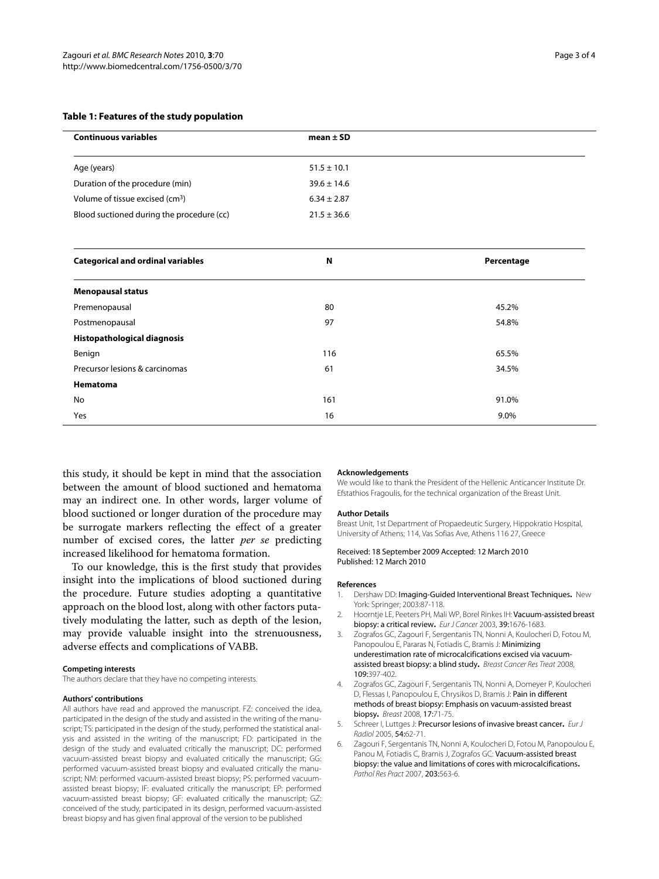| <b>Continuous variables</b>                 | mean $\pm$ SD   |  |
|---------------------------------------------|-----------------|--|
| Age (years)                                 | $51.5 \pm 10.1$ |  |
| Duration of the procedure (min)             | $39.6 \pm 14.6$ |  |
| Volume of tissue excised (cm <sup>3</sup> ) | $6.34 \pm 2.87$ |  |
| Blood suctioned during the procedure (cc)   | $21.5 \pm 36.6$ |  |

| <b>Categorical and ordinal variables</b> | N   | Percentage |
|------------------------------------------|-----|------------|
| <b>Menopausal status</b>                 |     |            |
| Premenopausal                            | 80  | 45.2%      |
| Postmenopausal                           | 97  | 54.8%      |
| <b>Histopathological diagnosis</b>       |     |            |
| Benign                                   | 116 | 65.5%      |
| Precursor lesions & carcinomas           | 61  | 34.5%      |
| Hematoma                                 |     |            |
| No                                       | 161 | 91.0%      |
| Yes                                      | 16  | 9.0%       |

this study, it should be kept in mind that the association between the amount of blood suctioned and hematoma may an indirect one. In other words, larger volume of blood suctioned or longer duration of the procedure may be surrogate markers reflecting the effect of a greater number of excised cores, the latter *per se* predicting increased likelihood for hematoma formation.

To our knowledge, this is the first study that provides insight into the implications of blood suctioned during the procedure. Future studies adopting a quantitative approach on the blood lost, along with other factors putatively modulating the latter, such as depth of the lesion, may provide valuable insight into the strenuousness, adverse effects and complications of VABB.

#### **Competing interests**

The authors declare that they have no competing interests.

#### **Authors' contributions**

All authors have read and approved the manuscript. FZ: conceived the idea, participated in the design of the study and assisted in the writing of the manuscript; TS: participated in the design of the study, performed the statistical analysis and assisted in the writing of the manuscript; FD: participated in the design of the study and evaluated critically the manuscript; DC: performed vacuum-assisted breast biopsy and evaluated critically the manuscript; GG: performed vacuum-assisted breast biopsy and evaluated critically the manuscript; NM: performed vacuum-assisted breast biopsy; PS: performed vacuumassisted breast biopsy; IF: evaluated critically the manuscript; EP: performed vacuum-assisted breast biopsy; GF: evaluated critically the manuscript; GZ: conceived of the study, participated in its design, performed vacuum-assisted breast biopsy and has given final approval of the version to be published

#### **Acknowledgements**

We would like to thank the President of the Hellenic Anticancer Institute Dr. Efstathios Fragoulis, for the technical organization of the Breast Unit.

#### **Author Details**

Breast Unit, 1st Department of Propaedeutic Surgery, Hippokratio Hospital, University of Athens; 114, Vas Sofias Ave, Athens 116 27, Greece

Received: 18 September 2009 Accepted: 12 March 2010 Published: 12 March 2010

#### **References**

- <span id="page-2-0"></span>1. Dershaw DD: Imaging-Guided Interventional Breast Techniques**.** New York: Springer; 2003:87-118.
- 2. Hoorntje LE, Peeters PH, Mali WP, Borel Rinkes IH: Vacuum-assisted breast biopsy: a critical review**.** Eur J Cancer 2003, 39:1676-1683.
- <span id="page-2-1"></span>3. Zografos GC, Zagouri F, Sergentanis TN, Nonni A, Koulocheri D, Fotou M, Panopoulou E, Pararas N, Fotiadis C, Bramis J: Minimizing underestimation rate of microcalcifications excised via vacuumassisted breast biopsy: a blind study**.** Breast Cancer Res Treat 2008, 109:397-402.
- <span id="page-2-2"></span>4. Zografos GC, Zagouri F, Sergentanis TN, Nonni A, Domeyer P, Koulocheri D, Flessas I, Panopoulou E, Chrysikos D, Bramis J: Pain in different methods of breast biopsy: Emphasis on vacuum-assisted breast biopsy**.** Breast 2008, 17:71-75.
- <span id="page-2-3"></span>5. Schreer I, Luttges J: Precursor lesions of invasive breast cancer**.** Eur J Radiol 2005, 54:62-71.
- <span id="page-2-4"></span>6. Zagouri F, Sergentanis TN, Nonni A, Koulocheri D, Fotou M, Panopoulou E, Panou M, Fotiadis C, Bramis J, Zografos GC: Vacuum-assisted breast biopsy: the value and limitations of cores with microcalcifications**.** Pathol Res Pract 2007, 203:563-6.